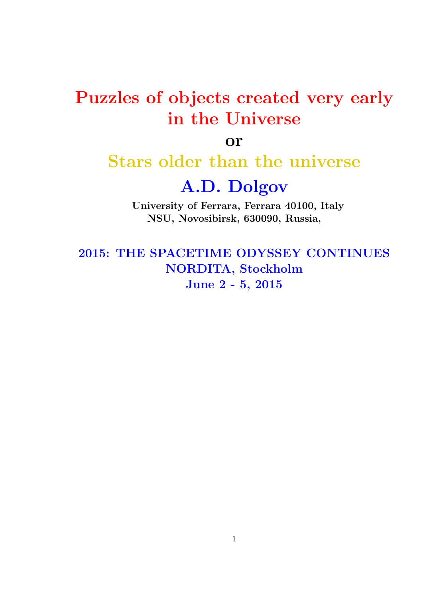## Puzzles of objects created very early in the Universe

or

### Stars older than the universe

### A.D. Dolgov

University of Ferrara, Ferrara 40100, Italy NSU, Novosibirsk, 630090, Russia,

2015: THE SPACETIME ODYSSEY CONTINUES NORDITA, Stockholm June 2 - 5, 2015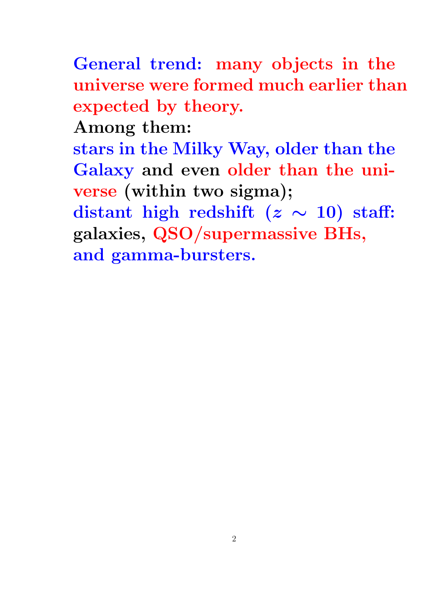General trend: many objects in the universe were formed much earlier than expected by theory.

Among them:

stars in the Milky Way, older than the Galaxy and even older than the universe (within two sigma);

distant high redshift ( $z \sim 10$ ) staff: galaxies, QSO/supermassive BHs, and gamma-bursters.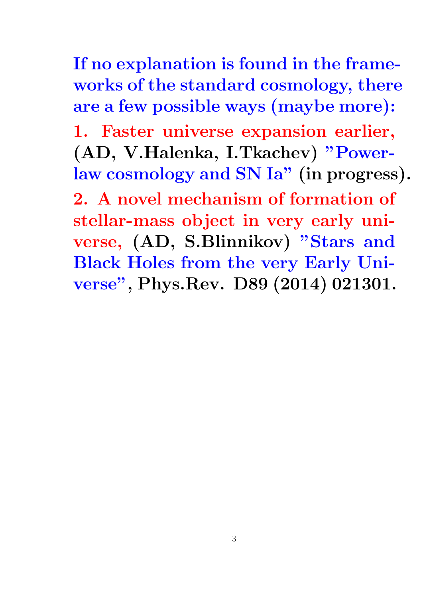If no explanation is found in the frameworks of the standard cosmology, there are a few possible ways (maybe more):

1. Faster universe expansion earlier, (AD, V.Halenka, I.Tkachev) "Powerlaw cosmology and SN Ia" (in progress).

2. A novel mechanism of formation of stellar-mass object in very early universe, (AD, S.Blinnikov) "Stars and Black Holes from the very Early Universe", Phys.Rev. D89 (2014) 021301.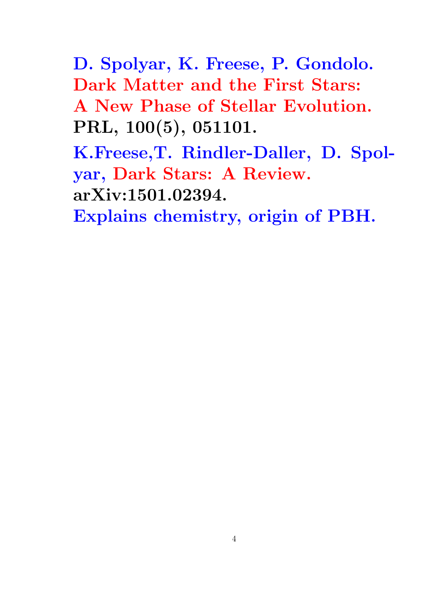D. Spolyar, K. Freese, P. Gondolo. Dark Matter and the First Stars: A New Phase of Stellar Evolution. PRL, 100(5), 051101.

K.Freese,T. Rindler-Daller, D. Spolyar, Dark Stars: A Review. arXiv:1501.02394.

Explains chemistry, origin of PBH.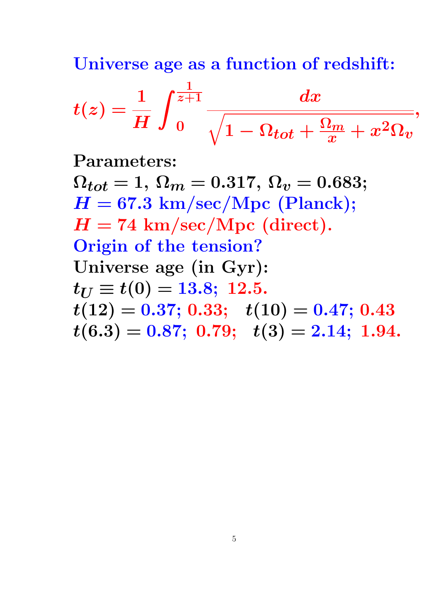Universe age as a function of redshift:

$$
t(z)=\frac{1}{H}\int_{0}^{\frac{1}{z+1}}\frac{dx}{\sqrt{1-\Omega_{tot}+\frac{\Omega_{m}}{x}+x^{2}\Omega_{v}}},
$$

Parameters:

 $\Omega_{tot} = 1, \Omega_m = 0.317, \Omega_v = 0.683;$  $H = 67.3$  km/sec/Mpc (Planck);  $H = 74$  km/sec/Mpc (direct). Origin of the tension? Universe age (in Gyr):  $t_{U} \equiv t(0) = 13.8; 12.5.$  $t(12) = 0.37; 0.33; t(10) = 0.47; 0.43$  $t(6.3) = 0.87; 0.79; t(3) = 2.14; 1.94.$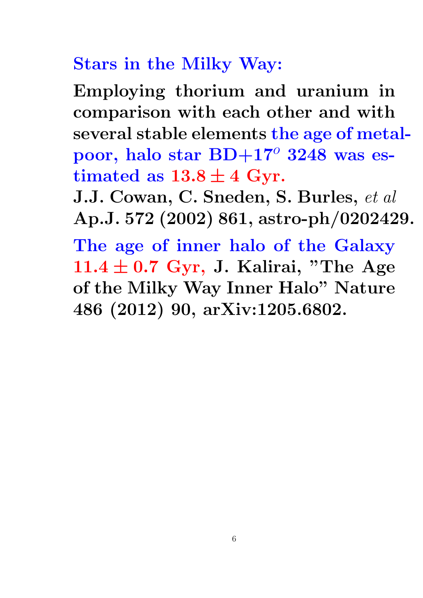# Stars in the Milky Way:

Employing thorium and uranium in comparison with each other and with several stable elements the age of metalpoor, halo star  $BD+17^{\circ}$  3248 was estimated as  $13.8 \pm 4$  Gyr.

J.J. Cowan, C. Sneden, S. Burles, et al Ap.J. 572 (2002) 861, astro-ph/0202429.

The age of inner halo of the Galaxy  $11.4 \pm 0.7$  Gyr, J. Kalirai, "The Age of the Milky Way Inner Halo" Nature 486 (2012) 90, arXiv:1205.6802.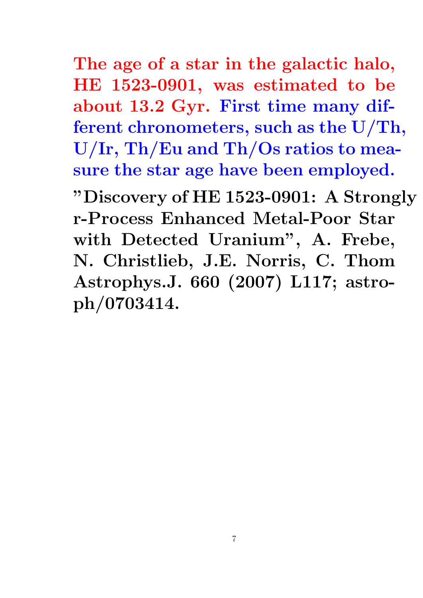The age of a star in the galactic halo, HE 1523-0901, was estimated to be about 13.2 Gyr. First time many different chronometers, such as the U/Th, U/Ir, Th/Eu and Th/Os ratios to measure the star age have been employed. "Discovery of HE 1523-0901: A Strongly r-Process Enhanced Metal-Poor Star with Detected Uranium", A. Frebe, N. Christlieb, J.E. Norris, C. Thom Astrophys.J. 660 (2007) L117; astro-

ph/0703414.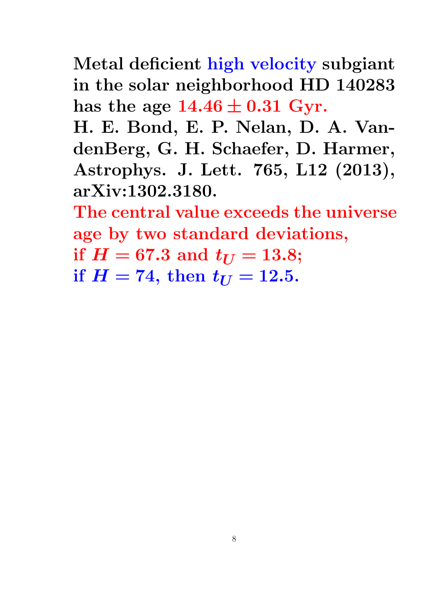Metal deficient high velocity subgiant in the solar neighborhood HD 140283 has the age  $14.46 \pm 0.31$  Gyr.

H. E. Bond, E. P. Nelan, D. A. VandenBerg, G. H. Schaefer, D. Harmer, Astrophys. J. Lett. 765, L12 (2013), arXiv:1302.3180.

The central value exceeds the universe age by two standard deviations,

if  $H = 67.3$  and  $t_{U} = 13.8$ ;

if  $H = 74$ , then  $t_{U} = 12.5$ .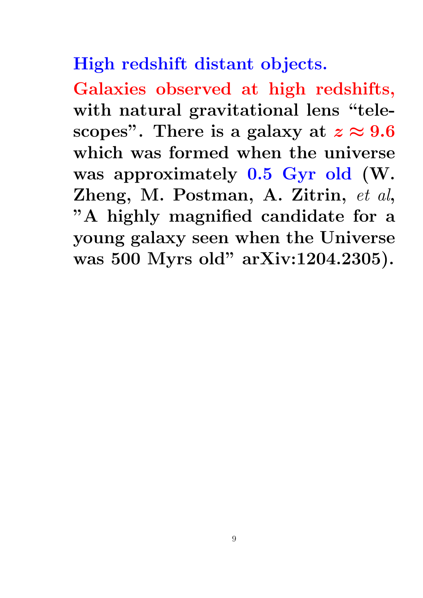High redshift distant objects.

Galaxies observed at high redshifts, with natural gravitational lens "telescopes". There is a galaxy at  $z \approx 9.6$ which was formed when the universe was approximately 0.5 Gyr old (W. Zheng, M. Postman, A. Zitrin, et al, "A highly magnified candidate for a young galaxy seen when the Universe was 500 Myrs old" arXiv:1204.2305).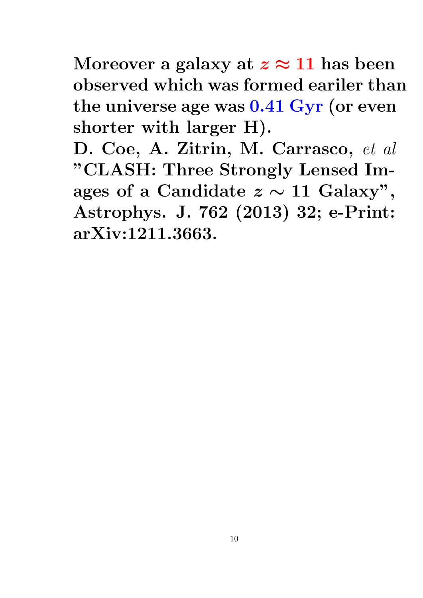Moreover a galaxy at  $z \approx 11$  has been observed which was formed eariler than the universe age was 0.41 Gyr (or even shorter with larger H).

D. Coe, A. Zitrin, M. Carrasco, et al "CLASH: Three Strongly Lensed Images of a Candidate  $z \sim 11$  Galaxy", Astrophys. J. 762 (2013) 32; e-Print: arXiv:1211.3663.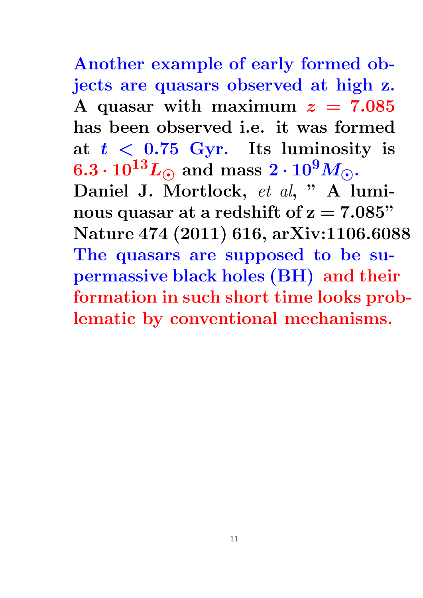Another example of early formed objects are quasars observed at high z. A quasar with maximum  $z = 7.085$ has been observed i.e. it was formed at  $t < 0.75$  Gyr. Its luminosity is  $6.3 \cdot 10^{13} L_{\odot}$  and mass  $2 \cdot 10^9 M_{\odot}$ . Daniel J. Mortlock, et al, " A luminous quasar at a redshift of  $z = 7.085"$ Nature 474 (2011) 616, arXiv:1106.6088 The quasars are supposed to be supermassive black holes (BH) and their formation in such short time looks problematic by conventional mechanisms.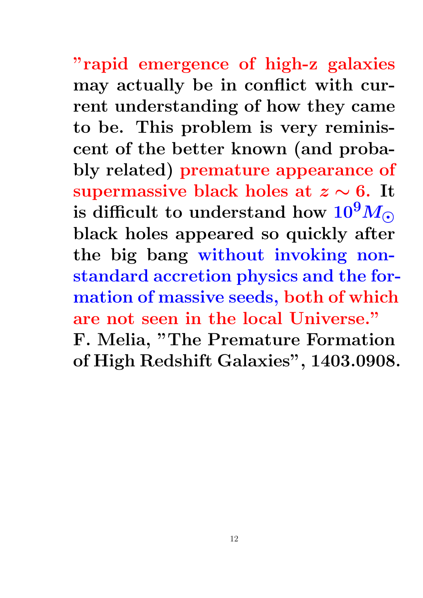"rapid emergence of high-z galaxies may actually be in conflict with current understanding of how they came to be. This problem is very reminiscent of the better known (and probably related) premature appearance of supermassive black holes at  $z \sim 6$ . It is difficult to understand how  $10^9 M_{\odot}$ black holes appeared so quickly after the big bang without invoking nonstandard accretion physics and the formation of massive seeds, both of which are not seen in the local Universe." F. Melia, "The Premature Formation of High Redshift Galaxies", 1403.0908.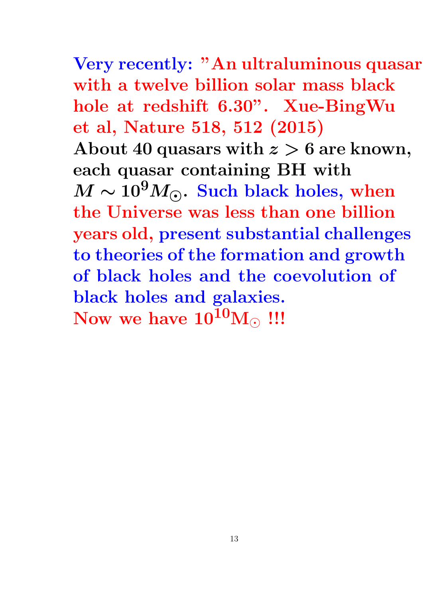Very recently: "An ultraluminous quasar with a twelve billion solar mass black hole at redshift 6.30". Xue-BingWu et al, Nature 518, 512 (2015) About 40 quasars with  $z > 6$  are known, each quasar containing BH with  $M \sim 10^9 M_{\odot}$ . Such black holes, when the Universe was less than one billion years old, present substantial challenges to theories of the formation and growth of black holes and the coevolution of black holes and galaxies. Now we have  $10^{10}$ M $\odot$  !!!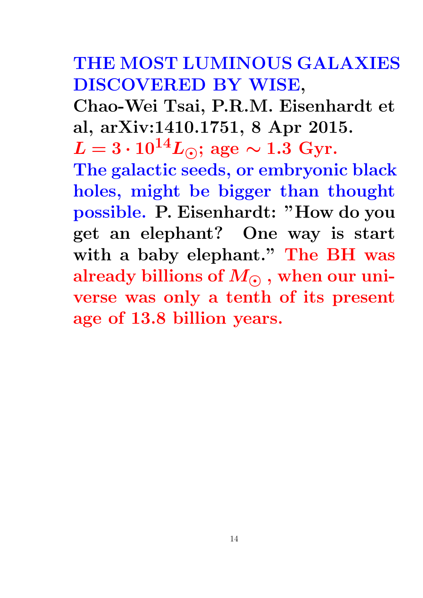## THE MOST LUMINOUS GALAXIES DISCOVERED BY WISE,

Chao-Wei Tsai, P.R.M. Eisenhardt et al, arXiv:1410.1751, 8 Apr 2015.

 $L = 3 \cdot 10^{14} L_{\odot}$ ; age ~ 1.3 Gyr. The galactic seeds, or embryonic black holes, might be bigger than thought possible. P. Eisenhardt: "How do you get an elephant? One way is start with a baby elephant." The BH was already billions of  $M_{\odot}$ , when our universe was only a tenth of its present age of 13.8 billion years.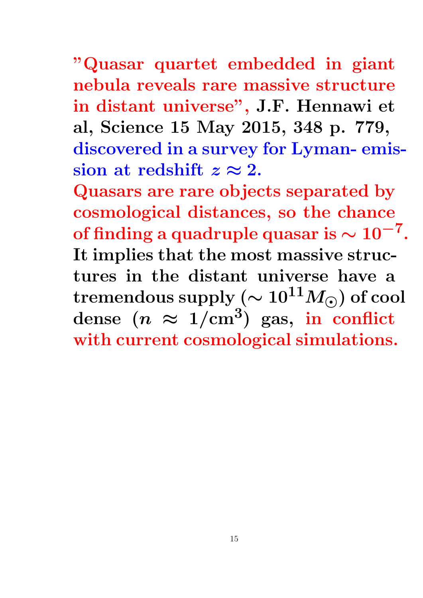"Quasar quartet embedded in giant nebula reveals rare massive structure in distant universe", J.F. Hennawi et al, Science 15 May 2015, 348 p. 779, discovered in a survey for Lyman- emission at redshift  $z \approx 2$ .

Quasars are rare objects separated by cosmological distances, so the chance of finding a quadruple quasar is  $\sim 10^{-7}.$ It implies that the most massive structures in the distant universe have a tremendous supply ( $\sim 10^{11} M_{\odot}$ ) of cool dense  $(n \approx 1/\text{cm}^3)$  gas, in conflict with current cosmological simulations.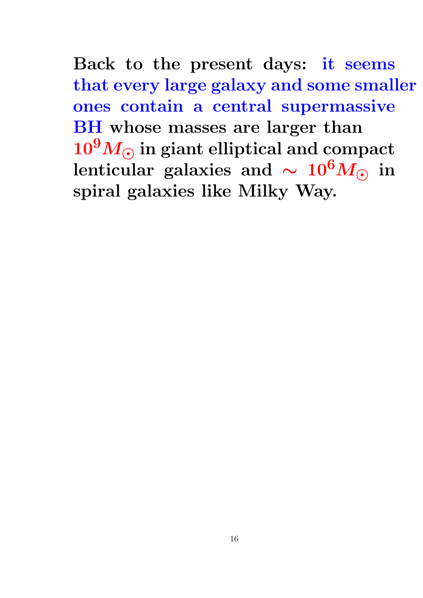Back to the present days: it seems that every large galaxy and some smaller ones contain a central supermassive BH whose masses are larger than  $10^9 M_{\odot}$  in giant elliptical and compact lenticular galaxies and  $\sim 10^6 M_{\odot}$  in spiral galaxies like Milky Way.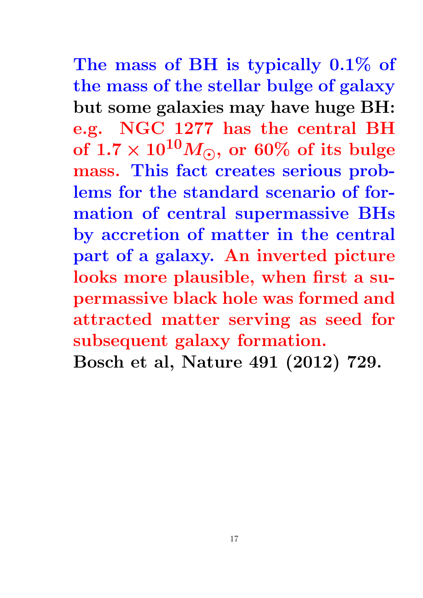The mass of BH is typically 0.1% of the mass of the stellar bulge of galaxy but some galaxies may have huge BH: e.g. NGC 1277 has the central BH of  $1.7 \times 10^{10} M_{\odot}$ , or 60% of its bulge mass. This fact creates serious problems for the standard scenario of formation of central supermassive BHs by accretion of matter in the central part of a galaxy. An inverted picture looks more plausible, when first a supermassive black hole was formed and attracted matter serving as seed for subsequent galaxy formation.

Bosch et al, Nature 491 (2012) 729.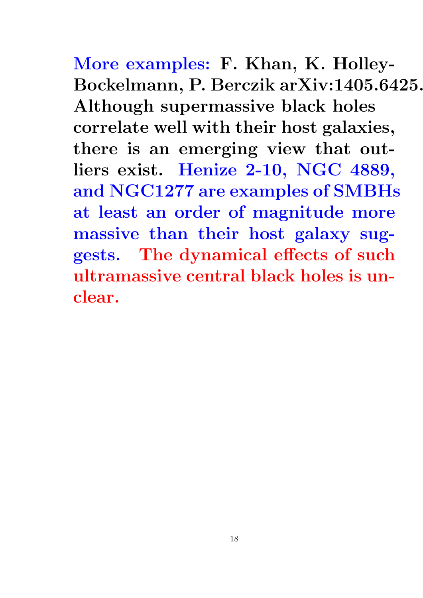More examples: F. Khan, K. Holley-Bockelmann, P. Berczik arXiv:1405.6425. Although supermassive black holes correlate well with their host galaxies, there is an emerging view that outliers exist. Henize 2-10, NGC 4889, and NGC1277 are examples of SMBHs at least an order of magnitude more massive than their host galaxy suggests. The dynamical effects of such ultramassive central black holes is unclear.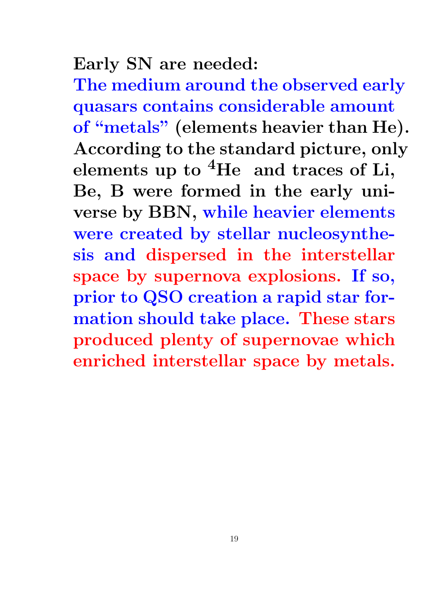### Early SN are needed:

The medium around the observed early quasars contains considerable amount of "metals" (elements heavier than He). According to the standard picture, only elements up to  ${}^{4}$ He and traces of Li, Be, B were formed in the early universe by BBN, while heavier elements were created by stellar nucleosynthesis and dispersed in the interstellar space by supernova explosions. If so, prior to QSO creation a rapid star formation should take place. These stars produced plenty of supernovae which enriched interstellar space by metals.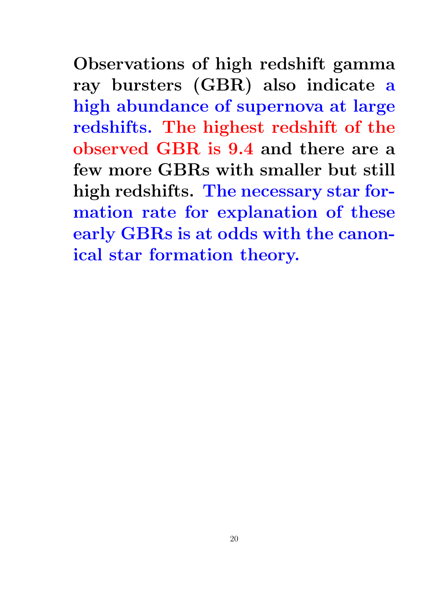Observations of high redshift gamma ray bursters (GBR) also indicate a high abundance of supernova at large redshifts. The highest redshift of the observed GBR is 9.4 and there are a few more GBRs with smaller but still high redshifts. The necessary star formation rate for explanation of these early GBRs is at odds with the canonical star formation theory.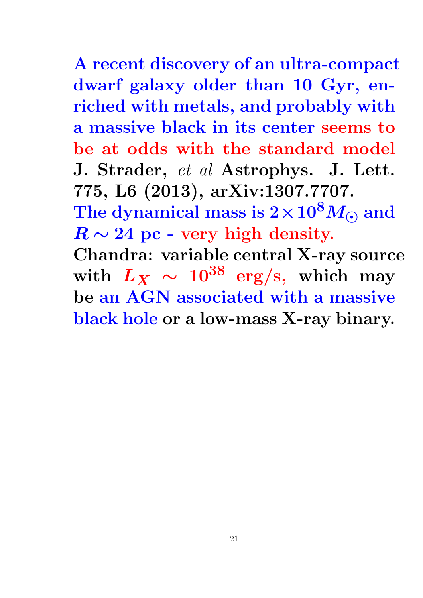A recent discovery of an ultra-compact dwarf galaxy older than 10 Gyr, enriched with metals, and probably with a massive black in its center seems to be at odds with the standard model J. Strader, et al Astrophys. J. Lett. 775, L6 (2013), arXiv:1307.7707. The dynamical mass is  $2 \times 10^8 M_{\odot}$  and  $R \sim 24$  pc - very high density. Chandra: variable central X-ray source with  $L_X \sim 10^{38}$  erg/s, which may be an AGN associated with a massive black hole or a low-mass X-ray binary.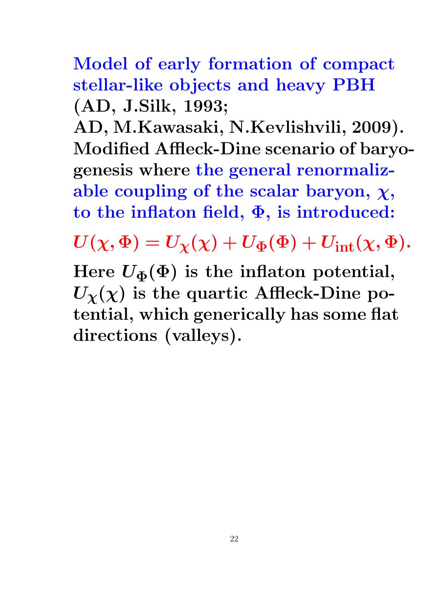Model of early formation of compact stellar-like objects and heavy PBH (AD, J.Silk, 1993;

AD, M.Kawasaki, N.Kevlishvili, 2009). Modified Affleck-Dine scenario of baryogenesis where the general renormalizable coupling of the scalar baryon,  $\chi$ , to the inflaton field, Φ, is introduced:

 $U(\chi, \Phi) = U_{\chi}(\chi) + U_{\Phi}(\Phi) + U_{\text{int}}(\chi, \Phi).$ 

Here  $U_{\Phi}(\Phi)$  is the inflaton potential,  $U_{\chi}(\chi)$  is the quartic Affleck-Dine potential, which generically has some flat directions (valleys).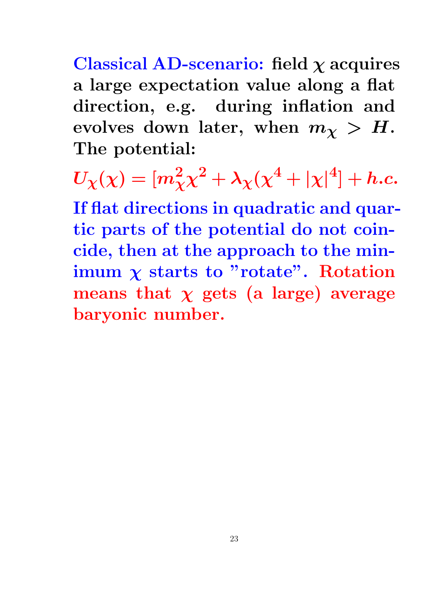Classical AD-scenario: field  $\chi$  acquires a large expectation value along a flat direction, e.g. during inflation and evolves down later, when  $m_{\chi} > H$ . The potential:

 $U_\chi(\chi)=[m_\chi^2\chi^2+\lambda_\chi(\chi^4+|\chi|^4]+h.c.$ If flat directions in quadratic and quartic parts of the potential do not coincide, then at the approach to the minimum  $\chi$  starts to "rotate". Rotation means that  $\chi$  gets (a large) average baryonic number.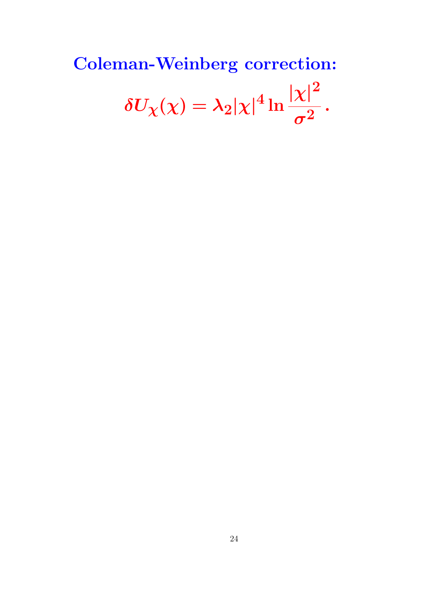#### Coleman-Weinberg correction:  $\delta U_\chi(\chi) = \lambda_2 |\chi|^4 \ln$  $|x|^2$  $\boldsymbol{\sigma^2}$ .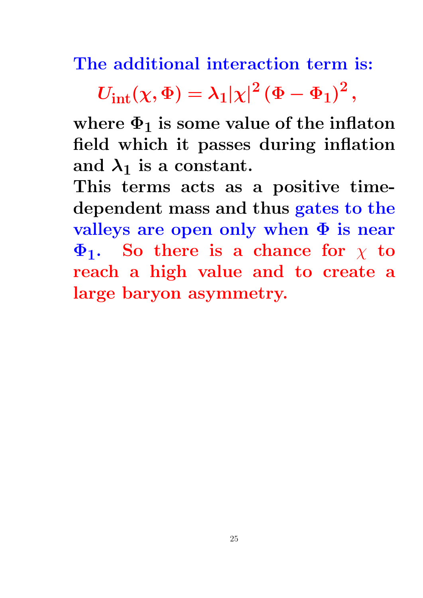The additional interaction term is:

 $U_{\mathrm{int}}(\chi,\Phi)=\lambda_{1}|\chi|^{2}\left(\Phi-\Phi_{1}\right)^{2},$ 

where  $\Phi_1$  is some value of the inflaton field which it passes during inflation and  $\lambda_1$  is a constant.

This terms acts as a positive timedependent mass and thus gates to the valleys are open only when  $\Phi$  is near  $\Phi_1$ . So there is a chance for  $\chi$  to reach a high value and to create a large baryon asymmetry.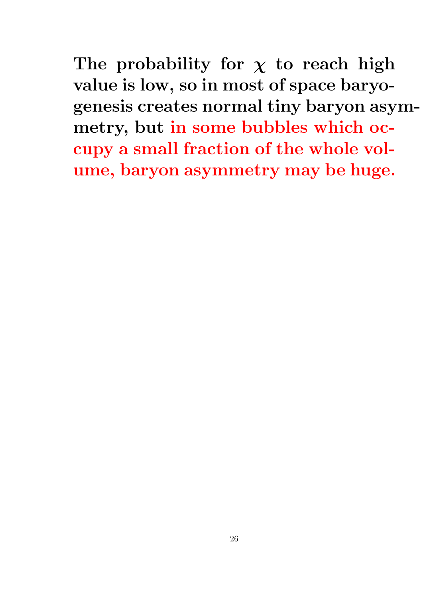The probability for  $\chi$  to reach high value is low, so in most of space baryogenesis creates normal tiny baryon asymmetry, but in some bubbles which occupy a small fraction of the whole volume, baryon asymmetry may be huge.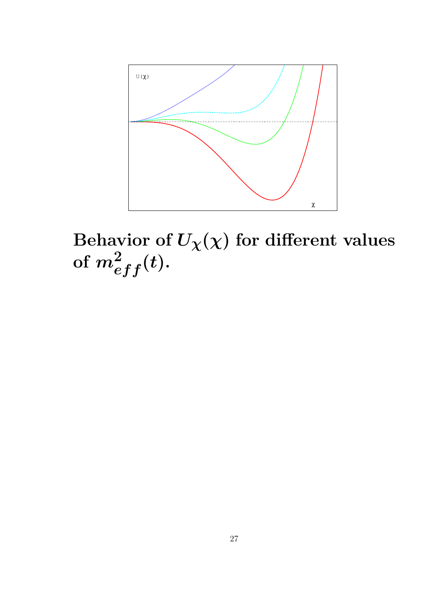

Behavior of  $U_\chi(\chi)$  for different values of  $m^2_{eff}(t).$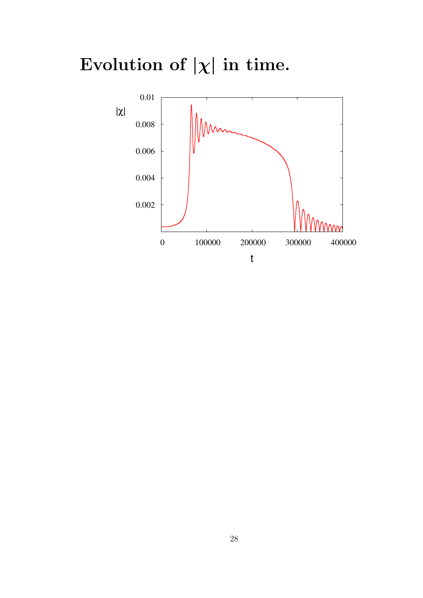Evolution of  $|\chi|$  in time.

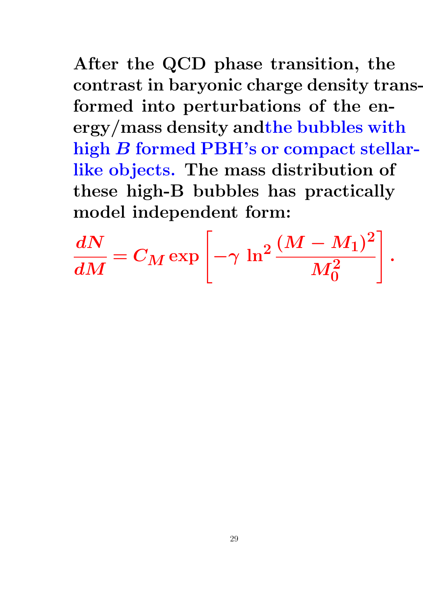After the QCD phase transition, the contrast in baryonic charge density transformed into perturbations of the energy/mass density andthe bubbles with high B formed PBH's or compact stellarlike objects. The mass distribution of these high-B bubbles has practically model independent form:

$$
\frac{dN}{dM} = C_M \exp\left[-\gamma \, \ln^2 \frac{(M-M_1)^2}{M_0^2}\right].
$$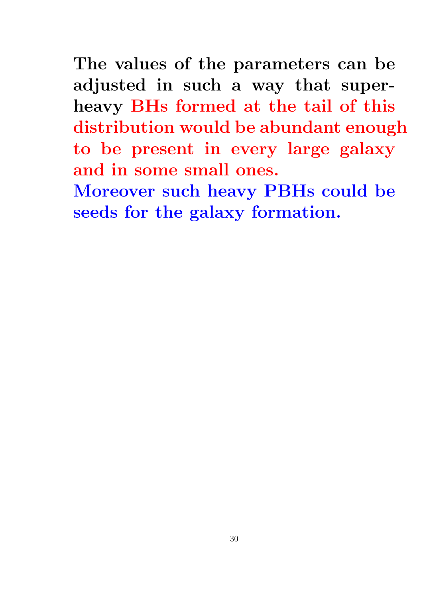The values of the parameters can be adjusted in such a way that superheavy BHs formed at the tail of this distribution would be abundant enough to be present in every large galaxy and in some small ones.

Moreover such heavy PBHs could be seeds for the galaxy formation.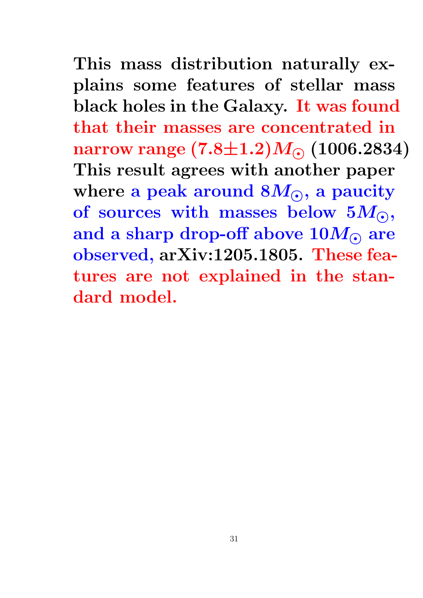This mass distribution naturally explains some features of stellar mass black holes in the Galaxy. It was found that their masses are concentrated in narrow range  $(7.8{\pm}1.2)M_{\odot}$  (1006.2834) This result agrees with another paper where a peak around  $8M_{\odot}$ , a paucity of sources with masses below  $5M_{\odot}$ , and a sharp drop-off above  $10M_{\odot}$  are observed, arXiv:1205.1805. These features are not explained in the standard model.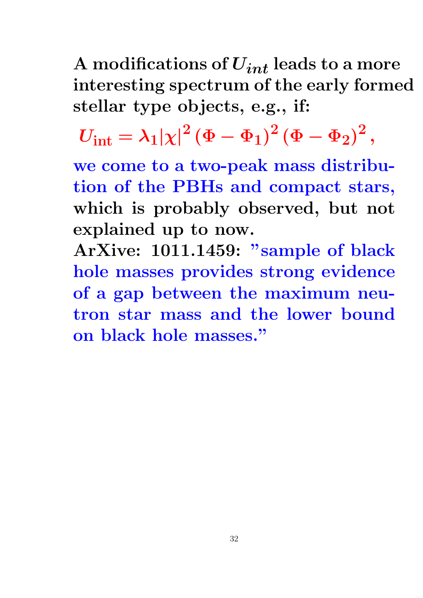A modifications of  $U_{int}$  leads to a more interesting spectrum of the early formed stellar type objects, e.g., if:

 $U_{\mathrm{int}} = \lambda_1 |\chi|^2 \left(\Phi-\Phi_1\right)^2 \left(\Phi-\Phi_2\right)^2,$ 

we come to a two-peak mass distribution of the PBHs and compact stars, which is probably observed, but not explained up to now.

ArXive: 1011.1459: "sample of black hole masses provides strong evidence of a gap between the maximum neutron star mass and the lower bound on black hole masses."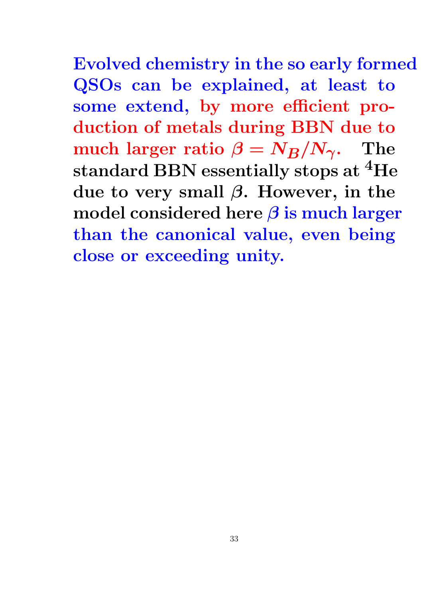Evolved chemistry in the so early formed QSOs can be explained, at least to some extend, by more efficient production of metals during BBN due to much larger ratio  $\beta = N_B/N_{\gamma}$ . The standard BBN essentially stops at <sup>4</sup>He due to very small  $\beta$ . However, in the model considered here  $\beta$  is much larger than the canonical value, even being close or exceeding unity.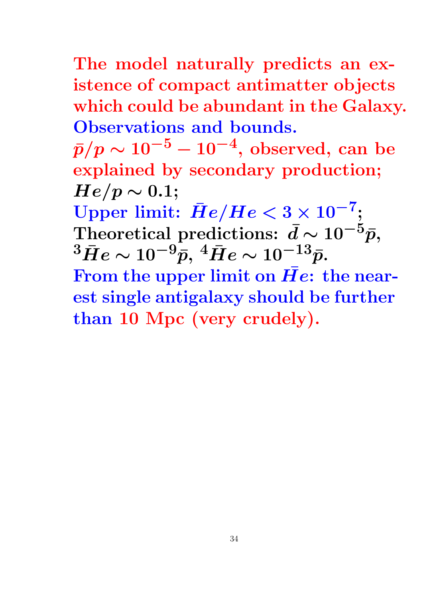The model naturally predicts an existence of compact antimatter objects which could be abundant in the Galaxy. Observations and bounds.

 $\bar{p}/p \sim 10^{-5} - 10^{-4}, \, {\rm observed}, \, {\rm can} \, \, {\rm be}$ explained by secondary production;  $He/p \sim 0.1;$ 

Upper limit:  $\bar{H}e/He < 3 \times 10^{-7};$ Theoretical predictions:  $\bar{d} \sim 10^{-5} \bar{p}$ ,  $^3\bar{H}e \sim 10^{-9}\bar{p},\, {}^4\bar{H}e \sim 10^{-13}\bar{p}.$ 

From the upper limit on  $\bar{He}$ : the nearest single antigalaxy should be further than 10 Mpc (very crudely).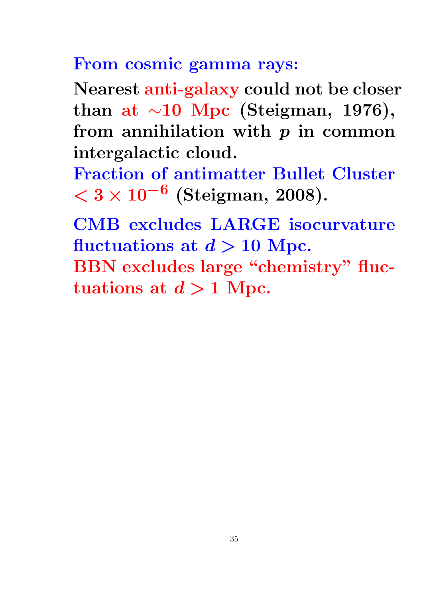## From cosmic gamma rays:

Nearest anti-galaxy could not be closer than at  $\sim$ 10 Mpc (Steigman, 1976), from annihilation with  $p$  in common intergalactic cloud.

Fraction of antimatter Bullet Cluster  $<$  3 × 10<sup>-6</sup> (Steigman, 2008).

CMB excludes LARGE isocurvature fluctuations at  $d > 10$  Mpc. BBN excludes large "chemistry" fluctuations at  $d > 1$  Mpc.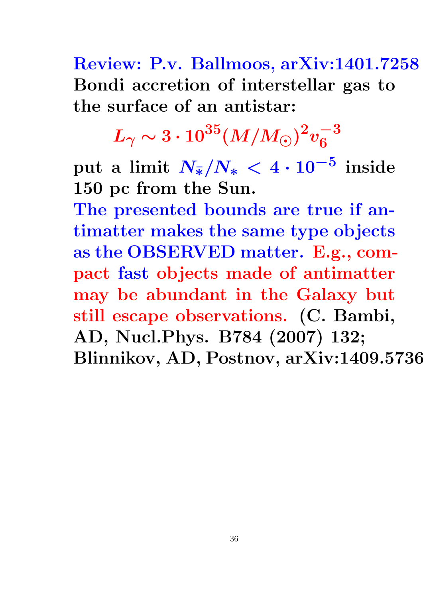Review: P.v. Ballmoos, arXiv:1401.7258 Bondi accretion of interstellar gas to the surface of an antistar:

> $L_{\gamma}\sim 3\cdot 10^{35}(M/M_{\odot})^2v_6^{-3}$ 6

 $\text{put} \text{ a limit } N_{\bar{*}}/N_* < 4 \cdot 10^{-5} \text{ inside}$ 150 pc from the Sun.

The presented bounds are true if antimatter makes the same type objects as the OBSERVED matter. E.g., compact fast objects made of antimatter may be abundant in the Galaxy but still escape observations. (C. Bambi, AD, Nucl.Phys. B784 (2007) 132; Blinnikov, AD, Postnov, arXiv:1409.5736.)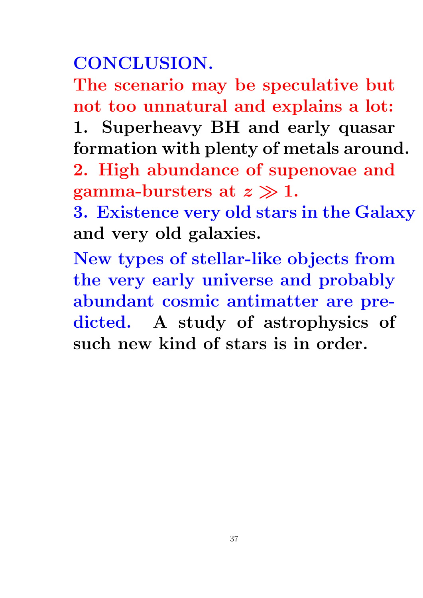# CONCLUSION.

The scenario may be speculative but not too unnatural and explains a lot:

1. Superheavy BH and early quasar formation with plenty of metals around.

2. High abundance of supenovae and gamma-bursters at  $z \gg 1$ .

3. Existence very old stars in the Galaxy and very old galaxies.

New types of stellar-like objects from the very early universe and probably abundant cosmic antimatter are predicted. A study of astrophysics of such new kind of stars is in order.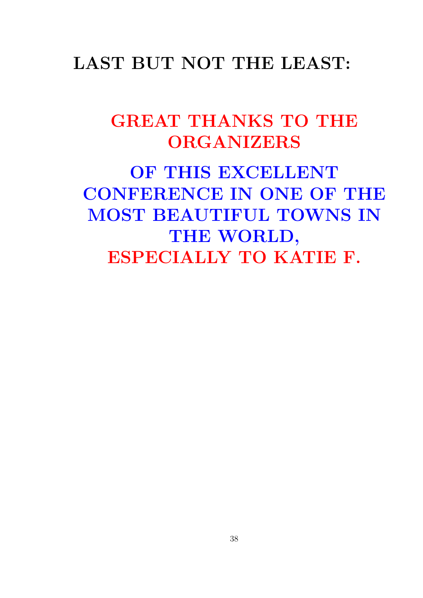### LAST BUT NOT THE LEAST:

## GREAT THANKS TO THE **ORGANIZERS**

OF THIS EXCELLENT CONFERENCE IN ONE OF THE MOST BEAUTIFUL TOWNS IN THE WORLD, ESPECIALLY TO KATIE F.